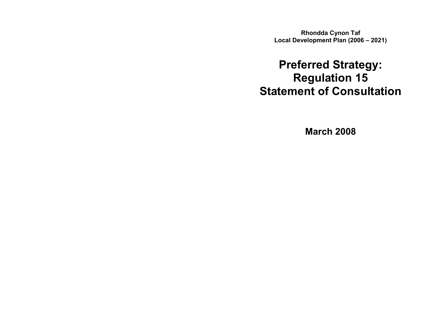Rhondda Cynon Taf Local Development Plan (2006 – 2021)

# Preferred Strategy: Regulation 15 Statement of Consultation

March 2008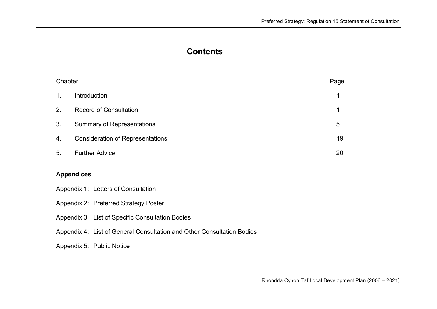# **Contents**

| Chapter                                         |                                                                        | Page |  |  |
|-------------------------------------------------|------------------------------------------------------------------------|------|--|--|
| 1 <sub>1</sub>                                  | Introduction                                                           | 1    |  |  |
| 2.                                              | <b>Record of Consultation</b>                                          | 1    |  |  |
| 3.                                              | <b>Summary of Representations</b>                                      | 5    |  |  |
| 4.                                              | <b>Consideration of Representations</b>                                |      |  |  |
| 5.                                              | <b>Further Advice</b>                                                  |      |  |  |
|                                                 | <b>Appendices</b>                                                      |      |  |  |
|                                                 | Appendix 1: Letters of Consultation                                    |      |  |  |
| Appendix 2: Preferred Strategy Poster           |                                                                        |      |  |  |
| Appendix 3 List of Specific Consultation Bodies |                                                                        |      |  |  |
|                                                 | Appendix 4: List of General Consultation and Other Consultation Bodies |      |  |  |
|                                                 | Appendix 5: Public Notice                                              |      |  |  |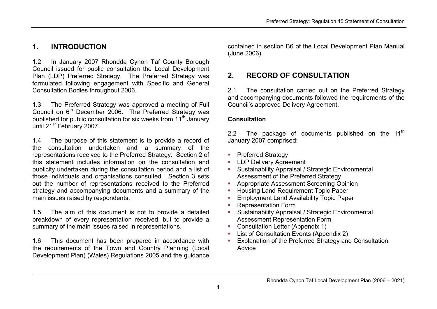# 1. INTRODUCTION

1.2 In January 2007 Rhondda Cynon Taf County Borough Council issued for public consultation the Local Development Plan (LDP) Preferred Strategy. The Preferred Strategy was formulated following engagement with Specific and General Consultation Bodies throughout 2006.

1.3 The Preferred Strategy was approved a meeting of Full Council on  $6<sup>th</sup>$  December 2006. The Preferred Strategy was published for public consultation for six weeks from 11<sup>th</sup> January until 21<sup>st</sup> February 2007.

1.4 The purpose of this statement is to provide a record of the consultation undertaken and a summary of the representations received to the Preferred Strategy. Section 2 of this statement includes information on the consultation and publicity undertaken during the consultation period and a list of those individuals and organisations consulted. Section 3 sets out the number of representations received to the Preferred strategy and accompanying documents and a summary of the main issues raised by respondents.

1.5 The aim of this document is not to provide a detailed breakdown of every representation received, but to provide a summary of the main issues raised in representations.

1.6 This document has been prepared in accordance with the requirements of the Town and Country Planning (Local Development Plan) (Wales) Regulations 2005 and the guidance

contained in section B6 of the Local Development Plan Manual (June 2006).

# 2. RECORD OF CONSULTATION

2.1 The consultation carried out on the Preferred Strategy and accompanying documents followed the requirements of the Council's approved Delivery Agreement.

#### **Consultation**

2.2 The package of documents published on the  $11<sup>th</sup>$ January 2007 comprised:

- **Preferred Strategy**
- **LDP Delivery Agreement**
- **Sustainability Appraisal / Strategic Environmental** Assessment of the Preferred Strategy
- **-** Appropriate Assessment Screening Opinion
- **Housing Land Requirement Topic Paper**
- **Employment Land Availability Topic Paper**
- Representation Form
- **Sustainability Appraisal / Strategic Environmental** Assessment Representation Form
- **Consultation Letter (Appendix 1)**
- **List of Consultation Events (Appendix 2)**
- **Explanation of the Preferred Strategy and Consultation** Advice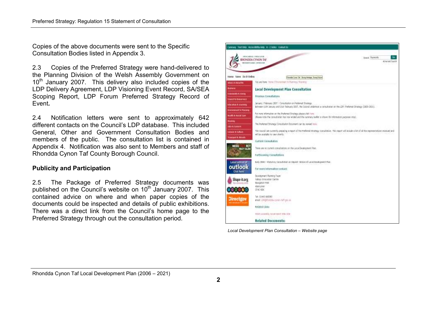Copies of the above documents were sent to the Specific Consultation Bodies listed in Appendix 3.

2.3 Copies of the Preferred Strategy were hand-delivered to the Planning Division of the Welsh Assembly Government on 10<sup>th</sup> January 2007. This delivery also included copies of the LDP Delivery Agreement, LDP Visioning Event Record, SA/SEA Scoping Report, LDP Forum Preferred Strategy Record of Event.

2.4 Notification letters were sent to approximately 642 different contacts on the Council's LDP database. This included General, Other and Government Consultation Bodies and members of the public. The consultation list is contained in Appendix 4. Notification was also sent to Members and staff of Rhondda Cynon Taf County Borough Council.

#### Publicity and Participation

2.5 The Package of Preferred Strategy documents waspublished on the Council's website on 10<sup>th</sup> January 2007. This contained advice on where and when paper copies of the documents could be inspected and details of public exhibitions. There was a direct link from the Council's home page to the Preferred Strategy through out the consultation period.



Local Development Plan Consultation – Website page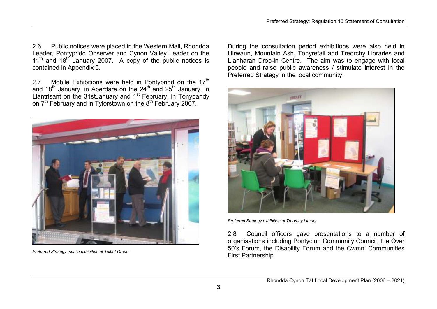2.6 Public notices were placed in the Western Mail, Rhondda Leader, Pontypridd Observer and Cynon Valley Leader on the 11<sup>th</sup> and 18<sup>th</sup> January 2007. A copy of the public notices is contained in Appendix 5.

2.7 Mobile Exhibitions were held in Pontypridd on the  $17<sup>th</sup>$ and 18<sup>th</sup> January, in Aberdare on the  $24<sup>th</sup>$  and  $25<sup>th</sup>$  January, in Llantrisant on the 31stJanuary and 1<sup>st</sup> February, in Tonypandy on 7<sup>th</sup> February and in Tylorstown on the 8<sup>th</sup> February 2007.



Preferred Strategy mobile exhibition at Talbot Green

During the consultation period exhibitions were also held in Hirwaun, Mountain Ash, Tonyrefail and Treorchy Libraries and Llanharan Drop-in Centre. The aim was to engage with local people and raise public awareness / stimulate interest in the Preferred Strategy in the local community.



Preferred Strategy exhibition at Treorchy Library

2.8 Council officers gave presentations to a number of organisations including Pontyclun Community Council, the Over 50's Forum, the Disability Forum and the Cwmni Communities First Partnership.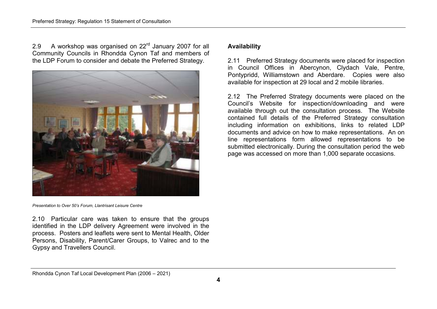2.9 A workshop was organised on  $22<sup>rd</sup>$  January 2007 for all Community Councils in Rhondda Cynon Taf and members of the LDP Forum to consider and debate the Preferred Strategy.



Presentation to Over 50's Forum, Llantrisant Leisure Centre

2.10 Particular care was taken to ensure that the groups identified in the LDP delivery Agreement were involved in the process. Posters and leaflets were sent to Mental Health, Older Persons, Disability, Parent/Carer Groups, to Valrec and to the Gypsy and Travellers Council.

### Availability

2.11 Preferred Strategy documents were placed for inspection in Council Offices in Abercynon, Clydach Vale, Pentre, Pontypridd, Williamstown and Aberdare. Copies were also available for inspection at 29 local and 2 mobile libraries.

2.12 The Preferred Strategy documents were placed on the Council's Website for inspection/downloading and were available through out the consultation process. The Website contained full details of the Preferred Strategy consultation including information on exhibitions, links to related LDP documents and advice on how to make representations. An on line representations form allowed representations to be submitted electronically. During the consultation period the web page was accessed on more than 1,000 separate occasions.

Rhondda Cynon Taf Local Development Plan (2006 – 2021)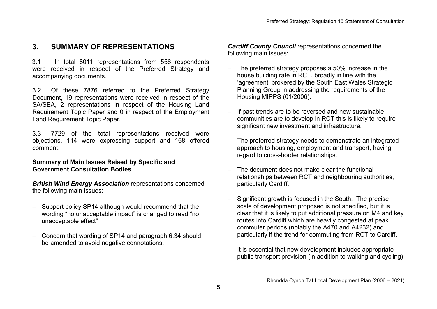# 3. SUMMARY OF REPRESENTATIONS

3.1 In total 8011 representations from 556 respondents were received in respect of the Preferred Strategy and accompanying documents.

3.2 Of these 7876 referred to the Preferred Strategy Document, 19 representations were received in respect of the SA/SEA, 2 representations in respect of the Housing Land Requirement Topic Paper and 0 in respect of the Employment Land Requirement Topic Paper.

3.3 7729 of the total representations received were objections, 114 were expressing support and 168 offered comment.

#### Summary of Main Issues Raised by Specific and Government Consultation Bodies

British Wind Energy Association representations concerned the following main issues:

- − Support policy SP14 although would recommend that the wording "no unacceptable impact" is changed to read "no unacceptable effect"
- − Concern that wording of SP14 and paragraph 6.34 should be amended to avoid negative connotations.

Cardiff County Council representations concerned the following main issues:

- The preferred strategy proposes a 50% increase in the house building rate in RCT, broadly in line with the 'agreement' brokered by the South East Wales Strategic Planning Group in addressing the requirements of the Housing MIPPS (01/2006).
- − If past trends are to be reversed and new sustainable communities are to develop in RCT this is likely to require significant new investment and infrastructure.
- − The preferred strategy needs to demonstrate an integrated approach to housing, employment and transport, having regard to cross-border relationships.
- The document does not make clear the functional relationships between RCT and neighbouring authorities, particularly Cardiff.
- Significant growth is focused in the South. The precise scale of development proposed is not specified, but it is clear that it is likely to put additional pressure on M4 and key routes into Cardiff which are heavily congested at peak commuter periods (notably the A470 and A4232) and particularly if the trend for commuting from RCT to Cardiff.
- It is essential that new development includes appropriate public transport provision (in addition to walking and cycling)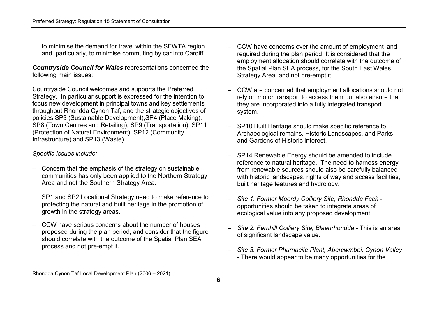to minimise the demand for travel within the SEWTA region and, particularly, to minimise commuting by car into Cardiff

Countryside Council for Wales representations concerned the following main issues:

Countryside Council welcomes and supports the Preferred Strategy. In particular support is expressed for the intention to focus new development in principal towns and key settlements throughout Rhondda Cynon Taf, and the strategic objectives of policies SP3 (Sustainable Development),SP4 (Place Making), SP8 (Town Centres and Retailing), SP9 (Transportation), SP11 (Protection of Natural Environment), SP12 (Community Infrastructure) and SP13 (Waste).

#### Specific Issues include:

- − Concern that the emphasis of the strategy on sustainable communities has only been applied to the Northern Strategy Area and not the Southern Strategy Area.
- SP1 and SP2 Locational Strategy need to make reference to protecting the natural and built heritage in the promotion of growth in the strategy areas.
- − CCW have serious concerns about the number of houses proposed during the plan period, and consider that the figure should correlate with the outcome of the Spatial Plan SEA process and not pre-empt it.
- − CCW have concerns over the amount of employment land required during the plan period. It is considered that the employment allocation should correlate with the outcome of the Spatial Plan SEA process, for the South East Wales Strategy Area, and not pre-empt it.
- − CCW are concerned that employment allocations should not rely on motor transport to access them but also ensure that they are incorporated into a fully integrated transport system.
- SP10 Built Heritage should make specific reference to Archaeological remains, Historic Landscapes, and Parks and Gardens of Historic Interest.
- SP14 Renewable Energy should be amended to include reference to natural heritage. The need to harness energy from renewable sources should also be carefully balanced with historic landscapes, rights of way and access facilities, built heritage features and hydrology.
- <sup>−</sup>Site 1. Former Maerdy Colliery Site, Rhondda Fach opportunities should be taken to integrate areas ofecological value into any proposed development.
- Site 2. Fernhill Colliery Site, Blaenrhondda This is an area of significant landscape value.
- − Site 3. Former Phurnacite Plant, Abercwmboi, Cynon Valley- There would appear to be many opportunities for the

Rhondda Cynon Taf Local Development Plan (2006 – 2021)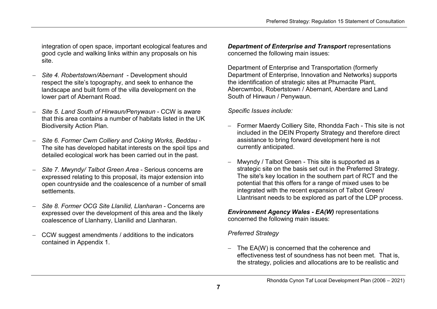integration of open space, important ecological features and good cycle and walking links within any proposals on his site.

- − Site 4. Robertstown/Abernant Development should respect the site's topography, and seek to enhance the landscape and built form of the villa development on the lower part of Abernant Road.
- <sup>−</sup>Site 5. Land South of Hirwaun/Penywaun CCW is aware that this area contains a number of habitats listed in the UK Biodiversity Action Plan.
- <sup>−</sup>Site 6. Former Cwm Colliery and Coking Works, Beddau The site has developed habitat interests on the spoil tips and detailed ecological work has been carried out in the past.
- <sup>−</sup>Site 7. Mwyndy/ Talbot Green Area Serious concerns are expressed relating to this proposal, its major extension into open countryside and the coalescence of a number of small settlements.
- <sup>−</sup>Site 8. Former OCG Site Llanilid, Llanharan Concerns are expressed over the development of this area and the likely coalescence of Llanharry, Llanilid and Llanharan.
- − CCW suggest amendments / additions to the indicators contained in Appendix 1.

Department of Enterprise and Transport representations concerned the following main issues:

Department of Enterprise and Transportation (formerly Department of Enterprise, Innovation and Networks) supports the identification of strategic sites at Phurnacite Plant, Abercwmboi, Robertstown / Abernant, Aberdare and Land South of Hirwaun / Penywaun.

Specific Issues include:

- Former Maerdy Colliery Site, Rhondda Fach This site is not included in the DEIN Property Strategy and therefore direct assistance to bring forward development here is notcurrently anticipated.
- Mwyndy / Talbot Green This site is supported as a strategic site on the basis set out in the Preferred Strategy. The site's key location in the southern part of RCT and the potential that this offers for a range of mixed uses to be integrated with the recent expansion of Talbot Green/ Llantrisant needs to be explored as part of the LDP process.

Environment Agency Wales - EA(W) representations concerned the following main issues:

# Preferred Strategy

− The EA(W) is concerned that the coherence and effectiveness test of soundness has not been met. That is, the strategy, policies and allocations are to be realistic and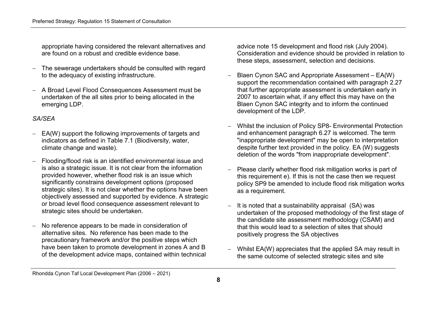appropriate having considered the relevant alternatives and are found on a robust and credible evidence base.

- − The sewerage undertakers should be consulted with regard to the adequacy of existing infrastructure.
- − A Broad Level Flood Consequences Assessment must beundertaken of the all sites prior to being allocated in the emerging LDP.

#### SA/SEA

- − EA(W) support the following improvements of targets and indicators as defined in Table 7.1 (Biodiversity, water, climate change and waste).
- Flooding/flood risk is an identified environmental issue and is also a strategic issue. It is not clear from the information provided however, whether flood risk is an issue which significantly constrains development options (proposed strategic sites). It is not clear whether the options have been objectively assessed and supported by evidence. A strategic or broad level flood consequence assessment relevant to strategic sites should be undertaken.
- − No reference appears to be made in consideration of alternative sites. No reference has been made to the precautionary framework and/or the positive steps which have been taken to promote development in zones A and B of the development advice maps, contained within technical

advice note 15 development and flood risk (July 2004). Consideration and evidence should be provided in relation to these steps, assessment, selection and decisions.

- − Blaen Cynon SAC and Appropriate Assessment EA(W) support the recommendation contained with paragraph 2.27 that further appropriate assessment is undertaken early in 2007 to ascertain what, if any effect this may have on the Blaen Cynon SAC integrity and to inform the continued development of the LDP.
- − Whilst the inclusion of Policy SP8- Environmental Protection and enhancement paragraph 6.27 is welcomed. The term "inappropriate development" may be open to interpretation despite further text provided in the policy. EA (W) suggests deletion of the words "from inappropriate development".
- Please clarify whether flood risk mitigation works is part of this requirement e). If this is not the case then we request policy SP9 be amended to include flood risk mitigation works as a requirement.
- It is noted that a sustainability appraisal (SA) was undertaken of the proposed methodology of the first stage of the candidate site assessment methodology (CSAM) and that this would lead to a selection of sites that should positively progress the SA objectives
- Whilst EA(W) appreciates that the applied SA may result in the same outcome of selected strategic sites and site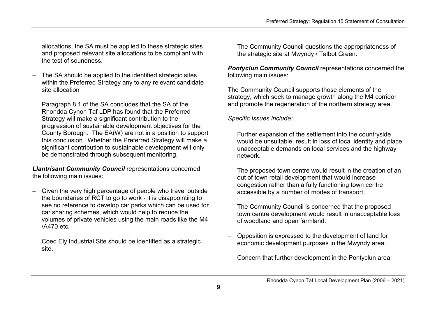allocations, the SA must be applied to these strategic sites and proposed relevant site allocations to be compliant with the test of soundness.

- − The SA should be applied to the identified strategic sites within the Preferred Strategy any to any relevant candidate site allocation
- − Paragraph 8.1 of the SA concludes that the SA of the Rhondda Cynon Taf LDP has found that the Preferred Strategy will make a significant contribution to the progression of sustainable development objectives for the County Borough. The EA(W) are not in a position to support this conclusion. Whether the Preferred Strategy will make a significant contribution to sustainable development will only be demonstrated through subsequent monitoring.

Llantrisant Community Council representations concerned the following main issues:

- − Given the very high percentage of people who travel outside the boundaries of RCT to go to work - it is disappointing to see no reference to develop car parks which can be used for car sharing schemes, which would help to reduce the volumes of private vehicles using the main roads like the M4 /A470 etc.
- − Coed Ely Industrial Site should be identified as a strategic site.

The Community Council questions the appropriateness of the strategic site at Mwyndy / Talbot Green.

Pontyclun Community Council representations concerned the following main issues:

The Community Council supports those elements of the strategy, which seek to manage growth along the M4 corridor and promote the regeneration of the northern strategy area.

Specific Issues include:

- − Further expansion of the settlement into the countryside would be unsuitable, result in loss of local identity and place unacceptable demands on local services and the highway network.
- The proposed town centre would result in the creation of an out of town retail development that would increase congestion rather than a fully functioning town centre accessible by a number of modes of transport.
- The Community Council is concerned that the proposed town centre development would result in unacceptable loss of woodland and open farmland.
- − Opposition is expressed to the development of land for economic development purposes in the Mwyndy area.
- − Concern that further development in the Pontyclun area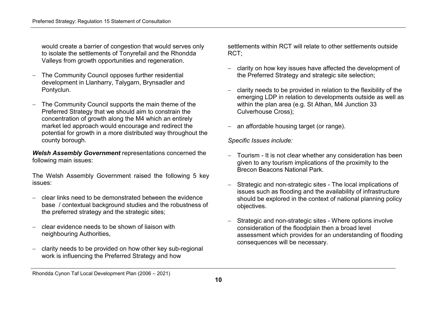would create a barrier of congestion that would serves only to isolate the settlements of Tonyrefail and the Rhondda Valleys from growth opportunities and regeneration.

- − The Community Council opposes further residential development in Llanharry, Talygarn, Brynsadler and Pontyclun.
- − The Community Council supports the main theme of the Preferred Strategy that we should aim to constrain the concentration of growth along the M4 which an entirely market led approach would encourage and redirect the potential for growth in a more distributed way throughout the county borough.

Welsh Assembly Government representations concerned the following main issues:

The Welsh Assembly Government raised the following 5 key issues:

- − clear links need to be demonstrated between the evidence base / contextual background studies and the robustness of the preferred strategy and the strategic sites;
- − clear evidence needs to be shown of liaison with neighbouring Authorities,
- − clarity needs to be provided on how other key sub-regional work is influencing the Preferred Strategy and how

settlements within RCT will relate to other settlements outside RCT;

- − clarity on how key issues have affected the development of the Preferred Strategy and strategic site selection;
- − clarity needs to be provided in relation to the flexibility of the emerging LDP in relation to developments outside as well as within the plan area (e.g. St Athan, M4 Junction 33Culverhouse Cross);
- an affordable housing target (or range).

Specific Issues include:

- Tourism It is not clear whether any consideration has been given to any tourism implications of the proximity to the Brecon Beacons National Park.
- Strategic and non-strategic sites The local implications of issues such as flooding and the availability of infrastructure should be explored in the context of national planning policy objectives.
- Strategic and non-strategic sites Where options involve consideration of the floodplain then a broad level assessment which provides for an understanding of flooding consequences will be necessary.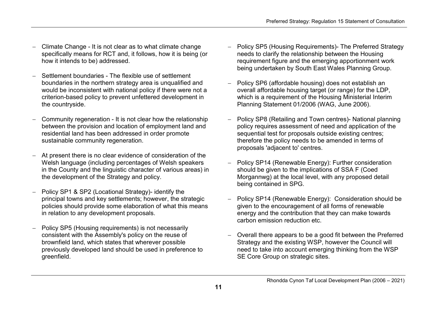- − Climate Change It is not clear as to what climate change specifically means for RCT and, it follows, how it is being (or how it intends to be) addressed.
- − Settlement boundaries The flexible use of settlement boundaries in the northern strategy area is unqualified and would be inconsistent with national policy if there were not a criterion-based policy to prevent unfettered development in the countryside.
- Community regeneration It is not clear how the relationship between the provision and location of employment land and residential land has been addressed in order promote sustainable community regeneration.
- At present there is no clear evidence of consideration of the Welsh language (including percentages of Welsh speakers in the County and the linguistic character of various areas) in the development of the Strategy and policy.
- − Policy SP1 & SP2 (Locational Strategy)- identify the principal towns and key settlements; however, the strategic policies should provide some elaboration of what this means in relation to any development proposals.
- − Policy SP5 (Housing requirements) is not necessarily consistent with the Assembly's policy on the reuse of brownfield land, which states that wherever possible previously developed land should be used in preference to greenfield.
- − Policy SP5 (Housing Requirements)- The Preferred Strategy needs to clarify the relationship between the Housing requirement figure and the emerging apportionment work being undertaken by South East Wales Planning Group.
- − Policy SP6 (affordable housing) does not establish an overall affordable housing target (or range) for the LDP, which is a requirement of the Housing Ministerial Interim Planning Statement 01/2006 (WAG, June 2006).
- − Policy SP8 (Retailing and Town centres)- National planning policy requires assessment of need and application of the sequential test for proposals outside existing centres; therefore the policy needs to be amended in terms of proposals 'adjacent to' centres.
- − Policy SP14 (Renewable Energy): Further consideration should be given to the implications of SSA F (Coed Morgannwg) at the local level, with any proposed detail being contained in SPG.
- − Policy SP14 (Renewable Energy): Consideration should be given to the encouragement of all forms of renewable energy and the contribution that they can make towards carbon emission reduction etc.
- − Overall there appears to be a good fit between the Preferred Strategy and the existing WSP, however the Council will need to take into account emerging thinking from the WSP SE Core Group on strategic sites.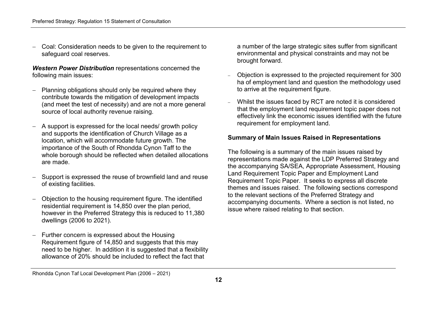− Coal: Consideration needs to be given to the requirement to safeguard coal reserves.

Western Power Distribution representations concerned the following main issues:

- − Planning obligations should only be required where they contribute towards the mitigation of development impacts (and meet the test of necessity) and are not a more general source of local authority revenue raising.
- − A support is expressed for the local needs/ growth policy and supports the identification of Church Village as a location, which will accommodate future growth. The importance of the South of Rhondda Cynon Taff to the whole borough should be reflected when detailed allocations are made.
- Support is expressed the reuse of brownfield land and reuse of existing facilities.
- − Objection to the housing requirement figure. The identified residential requirement is 14,850 over the plan period, however in the Preferred Strategy this is reduced to 11,380 dwellings (2006 to 2021).
- − Further concern is expressed about the Housing Requirement figure of 14,850 and suggests that this may need to be higher. In addition it is suggested that a flexibility allowance of 20% should be included to reflect the fact that

a number of the large strategic sites suffer from significant environmental and physical constraints and may not be brought forward.

- − Objection is expressed to the projected requirement for 300 ha of employment land and question the methodology used to arrive at the requirement figure.
- Whilst the issues faced by RCT are noted it is considered that the employment land requirement topic paper does not effectively link the economic issues identified with the future requirement for employment land.

#### Summary of Main Issues Raised in Representations

The following is a summary of the main issues raised by representations made against the LDP Preferred Strategy and the accompanying SA/SEA, Appropriate Assessment, Housing Land Requirement Topic Paper and Employment Land Requirement Topic Paper. It seeks to express all discrete themes and issues raised. The following sections correspond to the relevant sections of the Preferred Strategy and accompanying documents. Where a section is not listed, no issue where raised relating to that section.

Rhondda Cynon Taf Local Development Plan (2006 – 2021)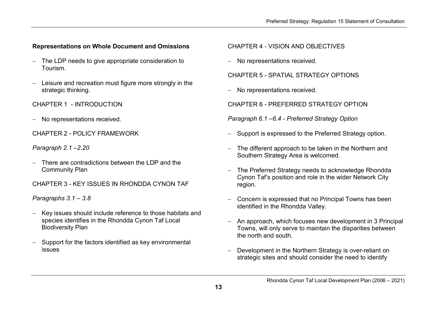# Representations on Whole Document and Omissions

- − The LDP needs to give appropriate consideration to Tourism.
- − Leisure and recreation must figure more strongly in the strategic thinking.

CHAPTER 1 - INTRODUCTION

− No representations received.

CHAPTER 2 - POLICY FRAMEWORK

Paragraph 2.1 –2.20

- − There are contradictions between the LDP and the Community Plan
- CHAPTER 3 KEY ISSUES IN RHONDDA CYNON TAF

Paragraphs 3.1 – 3.8

- − Key issues should include reference to those habitats and species identifies in the Rhondda Cynon Taf Local Biodiversity Plan
- − Support for the factors identified as key environmental issues

# CHAPTER 4 - VISION AND OBJECTIVES

− No representations received.

CHAPTER 5 - SPATIAL STRATEGY OPTIONS

− No representations received.

CHAPTER 6 - PREFERRED STRATEGY OPTION

Paragraph 6.1 –6.4 - Preferred Strategy Option

- Support is expressed to the Preferred Strategy option.
- − The different approach to be taken in the Northern and Southern Strategy Area is welcomed.
- The Preferred Strategy needs to acknowledge Rhondda Cynon Taf's position and role in the wider Network City region.
- − Concern is expressed that no Principal Towns has been identified in the Rhondda Valley.
- − An approach, which focuses new development in 3 Principal Towns, will only serve to maintain the disparities between the north and south.
- Development in the Northern Strategy is over-reliant on strategic sites and should consider the need to identify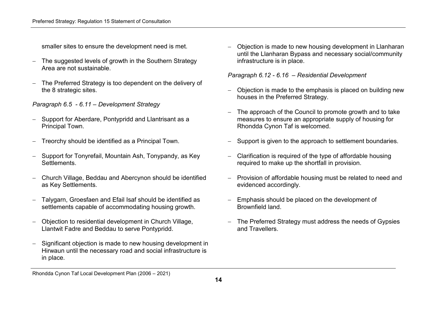smaller sites to ensure the development need is met.

- − The suggested levels of growth in the Southern Strategy Area are not sustainable.
- − The Preferred Strategy is too dependent on the delivery of the 8 strategic sites.

Paragraph 6.5 - 6.11 – Development Strategy

- − Support for Aberdare, Pontypridd and Llantrisant as a Principal Town.
- − Treorchy should be identified as a Principal Town.
- − Support for Tonyrefail, Mountain Ash, Tonypandy, as Key Settlements.
- − Church Village, Beddau and Abercynon should be identified as Key Settlements.
- − Talygarn, Groesfaen and Efail Isaf should be identified as settlements capable of accommodating housing growth.
- − Objection to residential development in Church Village, Llantwit Fadre and Beddau to serve Pontypridd.
- − Significant objection is made to new housing development in Hirwaun until the necessary road and social infrastructure is in place.

− Objection is made to new housing development in Llanharan until the Llanharan Bypass and necessary social/community infrastructure is in place.

Paragraph 6.12 - 6.16 – Residential Development

- − Objection is made to the emphasis is placed on building new houses in the Preferred Strategy.
- − The approach of the Council to promote growth and to take measures to ensure an appropriate supply of housing for Rhondda Cynon Taf is welcomed.
- Support is given to the approach to settlement boundaries.
- − Clarification is required of the type of affordable housing required to make up the shortfall in provision.
- − Provision of affordable housing must be related to need and evidenced accordingly.
- Emphasis should be placed on the development of Brownfield land.
- − The Preferred Strategy must address the needs of Gypsies and Travellers.

Rhondda Cynon Taf Local Development Plan (2006 – 2021)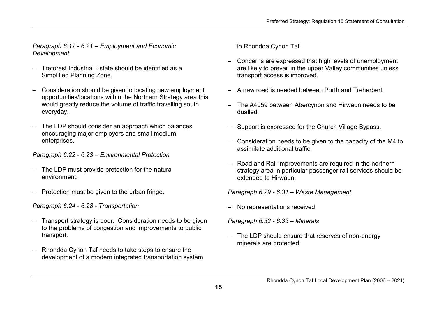Paragraph 6.17 - 6.21 – Employment and Economic Development

- − Treforest Industrial Estate should be identified as a Simplified Planning Zone.
- − Consideration should be given to locating new employment opportunities/locations within the Northern Strategy area this would greatly reduce the volume of traffic travelling south everyday.
- − The LDP should consider an approach which balances encouraging major employers and small medium enterprises.

Paragraph 6.22 - 6.23 – Environmental Protection

- − The LDP must provide protection for the natural environment.
- − Protection must be given to the urban fringe.

Paragraph 6.24 - 6.28 - Transportation

- − Transport strategy is poor. Consideration needs to be given to the problems of congestion and improvements to public transport.
- − Rhondda Cynon Taf needs to take steps to ensure thedevelopment of a modern integrated transportation system

in Rhondda Cynon Taf.

- − Concerns are expressed that high levels of unemployment are likely to prevail in the upper Valley communities unless transport access is improved.
- − A new road is needed between Porth and Treherbert.
- − The A4059 between Abercynon and Hirwaun needs to bedualled.
- Support is expressed for the Church Village Bypass.
- − Consideration needs to be given to the capacity of the M4 to assimilate additional traffic.
- − Road and Rail improvements are required in the northern strategy area in particular passenger rail services should be extended to Hirwaun.

Paragraph 6.29 - 6.31 – Waste Management

− No representations received.

Paragraph 6.32 - 6.33 – Minerals

The LDP should ensure that reserves of non-energy minerals are protected.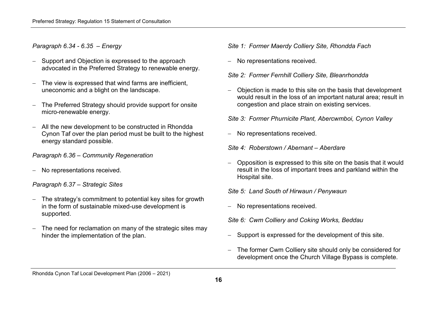### Paragraph 6.34 - 6.35 – Energy

- − Support and Objection is expressed to the approach advocated in the Preferred Strategy to renewable energy.
- − The view is expressed that wind farms are inefficient, uneconomic and a blight on the landscape.
- − The Preferred Strategy should provide support for onsite micro-renewable energy.
- − All the new development to be constructed in Rhondda Cynon Taf over the plan period must be built to the highest energy standard possible.

#### Paragraph 6.36 – Community Regeneration

− No representations received.

#### Paragraph 6.37 – Strategic Sites

- − The strategy's commitment to potential key sites for growth in the form of sustainable mixed-use development issupported.
- − The need for reclamation on many of the strategic sites may hinder the implementation of the plan.

#### Site 1: Former Maerdy Colliery Site, Rhondda Fach

− No representations received.

#### Site 2: Former Fernhill Colliery Site, Bleanrhondda

− Objection is made to this site on the basis that development would result in the loss of an important natural area; result in congestion and place strain on existing services.

Site 3: Former Phurnicite Plant, Abercwmboi, Cynon Valley

− No representations received.

Site 4: Roberstown / Abernant – Aberdare

− Opposition is expressed to this site on the basis that it would result in the loss of important trees and parkland within the Hospital site.

#### Site 5: Land South of Hirwaun / Penywaun

- − No representations received.
- Site 6: Cwm Colliery and Coking Works, Beddau
- Support is expressed for the development of this site.
- The former Cwm Colliery site should only be considered for development once the Church Village Bypass is complete.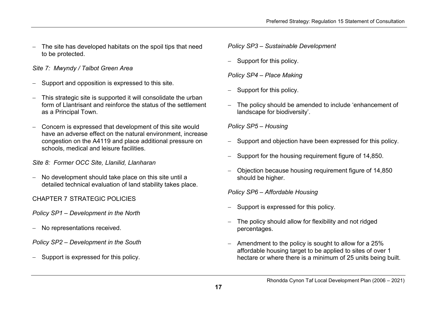− The site has developed habitats on the spoil tips that need to be protected.

# Site 7: Mwyndy / Talbot Green Area

- − Support and opposition is expressed to this site.
- − This strategic site is supported it will consolidate the urban form of Llantrisant and reinforce the status of the settlement as a Principal Town.
- − Concern is expressed that development of this site would have an adverse effect on the natural environment, increase congestion on the A4119 and place additional pressure on schools, medical and leisure facilities.

Site 8: Former OCC Site, Llanilid, Llanharan

− No development should take place on this site until a detailed technical evaluation of land stability takes place.

CHAPTER 7 STRATEGIC POLICIES

Policy SP1 – Development in the North

− No representations received.

Policy SP2 – Development in the South

− Support is expressed for this policy.

Policy SP3 – Sustainable Development

− Support for this policy.

Policy SP4 – Place Making

- Support for this policy.
- The policy should be amended to include 'enhancement of landscape for biodiversity'.

Policy SP5 – Housing

- Support and objection have been expressed for this policy.
- Support for the housing requirement figure of 14,850.
- − Objection because housing requirement figure of 14,850 should be higher.

Policy SP6 – Affordable Housing

- Support is expressed for this policy.
- The policy should allow for flexibility and not ridged percentages.
- − Amendment to the policy is sought to allow for a 25% affordable housing target to be applied to sites of over 1 hectare or where there is a minimum of 25 units being built.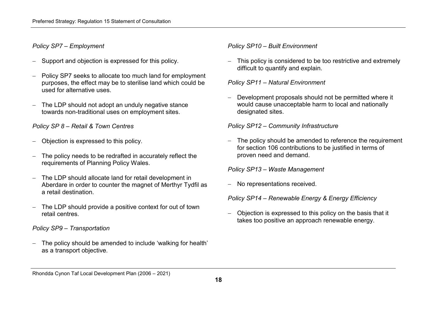# Policy SP7 – Employment

- − Support and objection is expressed for this policy.
- − Policy SP7 seeks to allocate too much land for employment purposes, the effect may be to sterilise land which could be used for alternative uses.
- − The LDP should not adopt an unduly negative stance towards non-traditional uses on employment sites.

Policy SP 8 – Retail & Town Centres

- − Objection is expressed to this policy.
- − The policy needs to be redrafted in accurately reflect the requirements of Planning Policy Wales.
- − The LDP should allocate land for retail development in Aberdare in order to counter the magnet of Merthyr Tydfil as a retail destination.
- − The LDP should provide a positive context for out of town retail centres.

# Policy SP9 – Transportation

− The policy should be amended to include 'walking for health' as a transport objective.

Policy SP10 – Built Environment

This policy is considered to be too restrictive and extremely difficult to quantify and explain.

Policy SP11 – Natural Environment

− Development proposals should not be permitted where it would cause unacceptable harm to local and nationally designated sites.

Policy SP12 – Community Infrastructure

− The policy should be amended to reference the requirement for section 106 contributions to be justified in terms of proven need and demand.

Policy SP13 – Waste Management

− No representations received.

Policy SP14 – Renewable Energy & Energy Efficiency

− Objection is expressed to this policy on the basis that it takes too positive an approach renewable energy.

Rhondda Cynon Taf Local Development Plan (2006 – 2021)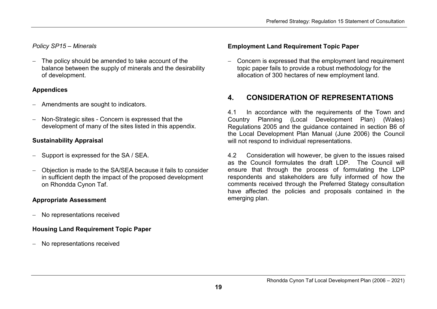# Policy SP15 – Minerals

− The policy should be amended to take account of the balance between the supply of minerals and the desirability of development.

### Appendices

- − Amendments are sought to indicators.
- − Non-Strategic sites Concern is expressed that thedevelopment of many of the sites listed in this appendix.

# Sustainability Appraisal

- − Support is expressed for the SA / SEA.
- − Objection is made to the SA/SEA because it fails to consider in sufficient depth the impact of the proposed development on Rhondda Cynon Taf.

# Appropriate Assessment

− No representations received

# Housing Land Requirement Topic Paper

− No representations received

# Employment Land Requirement Topic Paper

− Concern is expressed that the employment land requirement topic paper fails to provide a robust methodology for the allocation of 300 hectares of new employment land.

# 4. CONSIDERATION OF REPRESENTATIONS

4.1 In accordance with the requirements of the Town and Country Planning (Local Development Plan) (Wales) Regulations 2005 and the guidance contained in section B6 of the Local Development Plan Manual (June 2006) the Council will not respond to individual representations.

4.2 Consideration will however, be given to the issues raised as the Council formulates the draft LDP. The Council will ensure that through the process of formulating the LDP respondents and stakeholders are fully informed of how the comments received through the Preferred Stategy consultation have affected the policies and proposals contained in the emerging plan.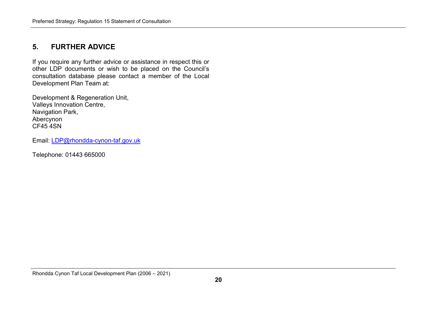# 5. FURTHER ADVICE

If you require any further advice or assistance in respect this or other LDP documents or wish to be placed on the Council's consultation database please contact a member of the Local Development Plan Team at:

Development & Regeneration Unit, Valleys Innovation Centre, Navigation Park, Abercynon CF45 4SN

Email: LDP@rhondda-cynon-taf.gov.uk

Telephone: 01443 665000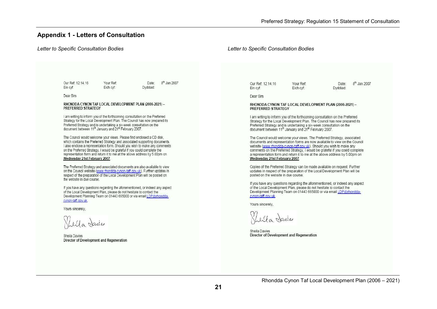#### Appendix 1 - Letters of Consultation

#### Letter to Specific Consultation Bodies Letter to Specific Consultation Bodies Our Ref: 12.14.16 Your Ref: Date: 8<sup>th</sup> Jan 2007 8<sup>th</sup> Jan 2007 Our Ref: 12.14.16 Your Ref: Date: Ein cyf: Eich cvf: Dyddiad: Ein cvf: Eich cvf: Dyddiad: Dear Sirs Dear Sirs RHONDDA CYNON TAF LOCAL DEVELOPMENT PLAN (2006-2021) -RHONDDA CYNON TAF LOCAL DEVELOPMENT PLAN (2006-2021) -PREFERRED STRATEGY PREFERRED STRATEGY I am writing to inform you of the forthcoming consultation on the Preferred I am writing to inform you of the forthcoming consultation on the Preferred Strategy for the Local Development Plan. The Council has now prepared its Strategy for the Local Development Plan. The Council has now prepared its Preferred Strategy and is undertaking a six-week consultation on the Preferred Strategy and is undertaking a six-week consultation on the document between 11th January and 21st February 2007. document between 11<sup>th</sup> January and 21<sup>st</sup> February 2007. The Council would welcome your views. Please find enclosed a CD disk. The Council would welcome your views. The Preferred Strategy, associated which contains the Preferred Strategy and associated supporting documents. documents and representation forms are now available to view on the Council I also enclose a representation form. Should you wish to make any comments website (www.rhondda-cynon-taff.gov.uk). Should you wish to make any comments on the Preferred Strategy, I would be grateful if you could complete on the Preferred Strategy, I would be grateful if you could complete the representation form and return it to me at the above address by 5,00pm on a representation form and return it to me at the above address by 5.00pm on Wednesday 21st February 2007. Wednesday 21st February 2007. The Preferred Strategy and associated documents are also available to view Copies of the Preferred Strategy can be made available on request. Further on the Council website (www.rhondda-cynon-taff.gov.uk). Further updates in updates in respect of the preparation of the Local Development Plan will be respect of the preparation of the Local Development Plan will be posted on posted on the website in due course. the website in due course. If you have any questions regarding the aforementioned, or indeed any aspect of the Local Development Plan, please do not hesitate to contact the If you have any questions regarding the aforementioned, or indeed any aspect Development Planning Team on 01443 665000 or via email LDP@rhonddaof the Local Development Plan, please do not hesitate to contact the Development Planning Team on 01443 665000 or via email LDP@rhonddacynon-taff.cov.uk cynon-taff.gov.uk. Yours sincerely, Yours sincerely. La Navies In Javies Sheila Davies Director of Development and Regeneration Sheila Davies Director of Development and Regeneration Rhondda Cynon Taf Local Development Plan (2006 – 2021)21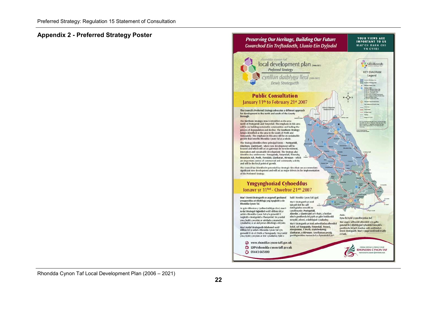#### Appendix 2 - Preferred Strategy Poster

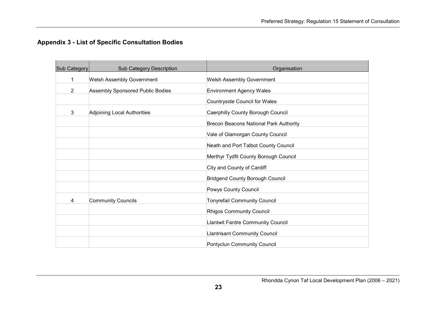# Appendix 3 - List of Specific Consultation Bodies

| Sub Category   | <b>Sub Category Description</b>  | Organisation                             |
|----------------|----------------------------------|------------------------------------------|
| 1              | <b>Welsh Assembly Government</b> | <b>Welsh Assembly Government</b>         |
| $\overline{2}$ | Assembly Sponsored Public Bodies | <b>Environment Agency Wales</b>          |
|                |                                  | Countryside Council for Wales            |
| 3              | Adjoining Local Authorities      | Caerphilly County Borough Council        |
|                |                                  | Brecon Beacons National Park Authority   |
|                |                                  | Vale of Glamorgan County Council         |
|                |                                  | Neath and Port Talbot County Council     |
|                |                                  | Merthyr Tydfil County Borough Council    |
|                |                                  | City and County of Cardiff               |
|                |                                  | <b>Bridgend County Borough Council</b>   |
|                |                                  | Powys County Council                     |
| 4              | <b>Community Councils</b>        | <b>Tonyrefail Community Council</b>      |
|                |                                  | Rhigos Community Council                 |
|                |                                  |                                          |
|                |                                  | <b>Llantwit Fardre Community Council</b> |
|                |                                  | <b>Llantrisant Community Council</b>     |
|                |                                  | Pontyclun Community Council              |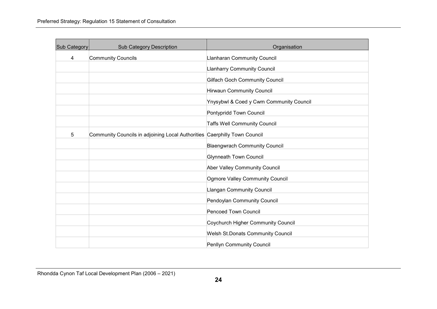| Sub Category | <b>Sub Category Description</b>                                           | Organisation                             |
|--------------|---------------------------------------------------------------------------|------------------------------------------|
| 4            | <b>Community Councils</b>                                                 | <b>Llanharan Community Council</b>       |
|              |                                                                           | <b>Llanharry Community Council</b>       |
|              |                                                                           | <b>Gilfach Goch Community Council</b>    |
|              |                                                                           | <b>Hirwaun Community Council</b>         |
|              |                                                                           | Ynysybwl & Coed y Cwm Community Council  |
|              |                                                                           | Pontypridd Town Council                  |
|              |                                                                           | <b>Taffs Well Community Council</b>      |
| 5            | Community Councils in adjoining Local Authorities Caerphilly Town Council |                                          |
|              |                                                                           | <b>Blaengwrach Community Council</b>     |
|              |                                                                           | <b>Glynneath Town Council</b>            |
|              |                                                                           | Aber Valley Community Council            |
|              |                                                                           | Ogmore Valley Community Council          |
|              |                                                                           | <b>Llangan Community Council</b>         |
|              |                                                                           | Pendoylan Community Council              |
|              |                                                                           | <b>Pencoed Town Council</b>              |
|              |                                                                           | Coychurch Higher Community Council       |
|              |                                                                           | <b>Welsh St.Donats Community Council</b> |
|              |                                                                           | Penllyn Community Council                |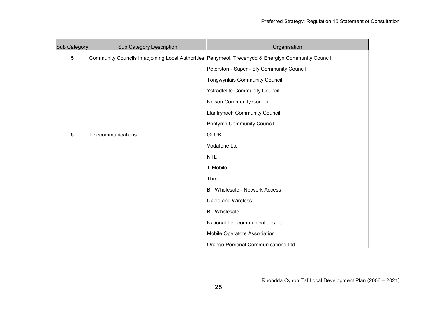| Sub Category                                                                                             | <b>Sub Category Description</b>           | Organisation                          |
|----------------------------------------------------------------------------------------------------------|-------------------------------------------|---------------------------------------|
| 5<br>Community Councils in adjoining Local Authorities Penyrheol, Trecenydd & Energlyn Community Council |                                           |                                       |
|                                                                                                          | Peterston - Super - Ely Community Council |                                       |
|                                                                                                          |                                           | <b>Tongwynlais Community Council</b>  |
|                                                                                                          |                                           | <b>Ystradfellte Community Council</b> |
|                                                                                                          |                                           | <b>Nelson Community Council</b>       |
|                                                                                                          |                                           | Llanfrynach Community Council         |
|                                                                                                          |                                           | Pentyrch Community Council            |
| 6                                                                                                        | Telecommunications                        | 02 UK                                 |
|                                                                                                          |                                           | Vodafone Ltd                          |
|                                                                                                          |                                           | <b>NTL</b>                            |
|                                                                                                          |                                           | T-Mobile                              |
|                                                                                                          |                                           | Three                                 |
|                                                                                                          |                                           | <b>BT Wholesale - Network Access</b>  |
|                                                                                                          |                                           | <b>Cable and Wireless</b>             |
|                                                                                                          |                                           | <b>BT</b> Wholesale                   |
|                                                                                                          |                                           | National Telecommunications Ltd       |
|                                                                                                          |                                           | Mobile Operators Association          |
|                                                                                                          |                                           | Orange Personal Communications Ltd    |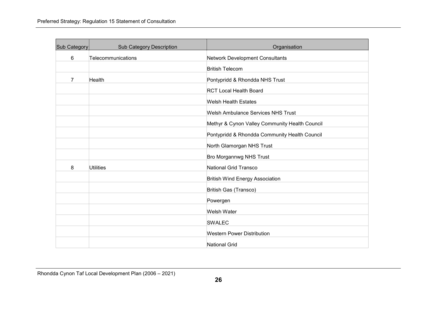| Sub Category   | <b>Sub Category Description</b> | Organisation                                   |
|----------------|---------------------------------|------------------------------------------------|
| 6              | Telecommunications              | <b>Network Development Consultants</b>         |
|                |                                 | <b>British Telecom</b>                         |
| $\overline{7}$ | Health                          | Pontypridd & Rhondda NHS Trust                 |
|                |                                 | <b>RCT Local Health Board</b>                  |
|                |                                 | <b>Welsh Health Estates</b>                    |
|                |                                 | <b>Welsh Ambulance Services NHS Trust</b>      |
|                |                                 | Methyr & Cynon Valley Community Health Council |
|                |                                 | Pontypridd & Rhondda Community Health Council  |
|                |                                 | North Glamorgan NHS Trust                      |
|                |                                 | Bro Morgannwg NHS Trust                        |
| 8              | <b>Utilities</b>                | <b>National Grid Transco</b>                   |
|                |                                 | <b>British Wind Energy Association</b>         |
|                |                                 | British Gas (Transco)                          |
|                |                                 | Powergen                                       |
|                |                                 | <b>Welsh Water</b>                             |
|                |                                 | <b>SWALEC</b>                                  |
|                |                                 | <b>Western Power Distribution</b>              |
|                |                                 | <b>National Grid</b>                           |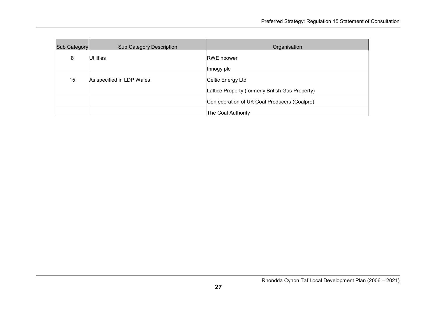| Sub Category | <b>Sub Category Description</b> | Organisation                                     |
|--------------|---------------------------------|--------------------------------------------------|
| 8            | <b>Utilities</b>                | <b>RWE</b> npower                                |
|              |                                 | Innogy plc                                       |
| 15           | As specified in LDP Wales       | Celtic Energy Ltd                                |
|              |                                 | Lattice Property (formerly British Gas Property) |
|              |                                 | Confederation of UK Coal Producers (Coalpro)     |
|              |                                 | The Coal Authority                               |